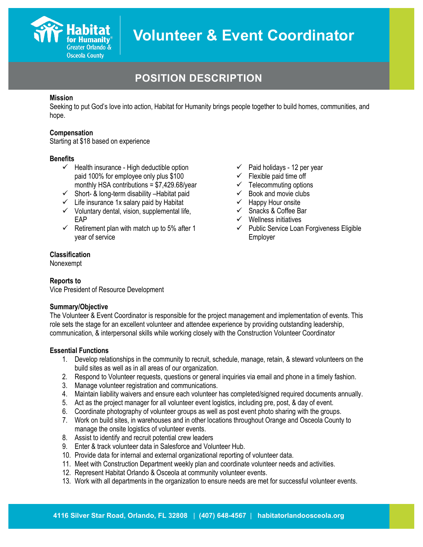

# **POSITION DESCRIPTION**

# **Mission**

Seeking to put God's love into action, Habitat for Humanity brings people together to build homes, communities, and hope.

#### **Compensation**

Starting at \$18 based on experience

## **Benefits**

- $\checkmark$  Health insurance High deductible option paid 100% for employee only plus \$100 monthly HSA contributions = \$7,429.68/year
- $\checkmark$  Short- & long-term disability Habitat paid
- $\checkmark$  Life insurance 1x salary paid by Habitat
- $\checkmark$  Voluntary dental, vision, supplemental life, EAP
- $\checkmark$  Retirement plan with match up to 5% after 1 year of service
- $\checkmark$  Paid holidays 12 per year
- $\checkmark$  Flexible paid time off
- $\checkmark$  Telecommuting options
- $\checkmark$  Book and movie clubs
- $\checkmark$  Happy Hour onsite
- $\checkmark$  Snacks & Coffee Bar
- $\checkmark$  Wellness initiatives
- $\checkmark$  Public Service Loan Forgiveness Eligible Employer

# **Classification**

Nonexempt

## **Reports to**

Vice President of Resource Development

## **Summary/Objective**

The Volunteer & Event Coordinator is responsible for the project management and implementation of events. This role sets the stage for an excellent volunteer and attendee experience by providing outstanding leadership, communication, & interpersonal skills while working closely with the Construction Volunteer Coordinator

## **Essential Functions**

- 1. Develop relationships in the community to recruit, schedule, manage, retain, & steward volunteers on the build sites as well as in all areas of our organization.
- 2. Respond to Volunteer requests, questions or general inquiries via email and phone in a timely fashion.
- 3. Manage volunteer registration and communications.
- 4. Maintain liability waivers and ensure each volunteer has completed/signed required documents annually.
- 5. Act as the project manager for all volunteer event logistics, including pre, post, & day of event.
- 6. Coordinate photography of volunteer groups as well as post event photo sharing with the groups.
- 7. Work on build sites, in warehouses and in other locations throughout Orange and Osceola County to manage the onsite logistics of volunteer events.
- 8. Assist to identify and recruit potential crew leaders
- 9. Enter & track volunteer data in Salesforce and Volunteer Hub.
- 10. Provide data for internal and external organizational reporting of volunteer data.
- 11. Meet with Construction Department weekly plan and coordinate volunteer needs and activities.
- 12. Represent Habitat Orlando & Osceola at community volunteer events.
- 13. Work with all departments in the organization to ensure needs are met for successful volunteer events.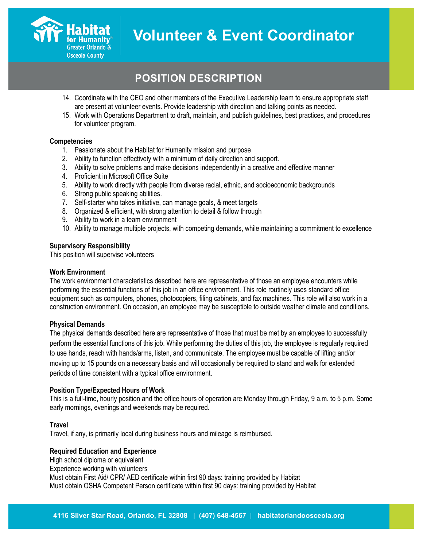

# **POSITION DESCRIPTION**

- 14. Coordinate with the CEO and other members of the Executive Leadership team to ensure appropriate staff are present at volunteer events. Provide leadership with direction and talking points as needed.
- 15. Work with Operations Department to draft, maintain, and publish guidelines, best practices, and procedures for volunteer program.

## **Competencies**

- 1. Passionate about the Habitat for Humanity mission and purpose
- 2. Ability to function effectively with a minimum of daily direction and support.
- 3. Ability to solve problems and make decisions independently in a creative and effective manner
- 4. Proficient in Microsoft Office Suite
- 5. Ability to work directly with people from diverse racial, ethnic, and socioeconomic backgrounds
- 6. Strong public speaking abilities.
- 7. Self-starter who takes initiative, can manage goals, & meet targets
- 8. Organized & efficient, with strong attention to detail & follow through
- 9. Ability to work in a team environment
- 10. Ability to manage multiple projects, with competing demands, while maintaining a commitment to excellence

#### **Supervisory Responsibility**

This position will supervise volunteers

#### **Work Environment**

The work environment characteristics described here are representative of those an employee encounters while performing the essential functions of this job in an office environment. This role routinely uses standard office equipment such as computers, phones, photocopiers, filing cabinets, and fax machines. This role will also work in a construction environment. On occasion, an employee may be susceptible to outside weather climate and conditions.

## **Physical Demands**

The physical demands described here are representative of those that must be met by an employee to successfully perform the essential functions of this job. While performing the duties of this job, the employee is regularly required to use hands, reach with hands/arms, listen, and communicate. The employee must be capable of lifting and/or moving up to 15 pounds on a necessary basis and will occasionally be required to stand and walk for extended periods of time consistent with a typical office environment.

#### **Position Type/Expected Hours of Work**

This is a full-time, hourly position and the office hours of operation are Monday through Friday, 9 a.m. to 5 p.m. Some early mornings, evenings and weekends may be required.

#### **Travel**

Travel, if any, is primarily local during business hours and mileage is reimbursed.

## **Required Education and Experience**

High school diploma or equivalent Experience working with volunteers Must obtain First Aid/ CPR/ AED certificate within first 90 days: training provided by Habitat Must obtain OSHA Competent Person certificate within first 90 days: training provided by Habitat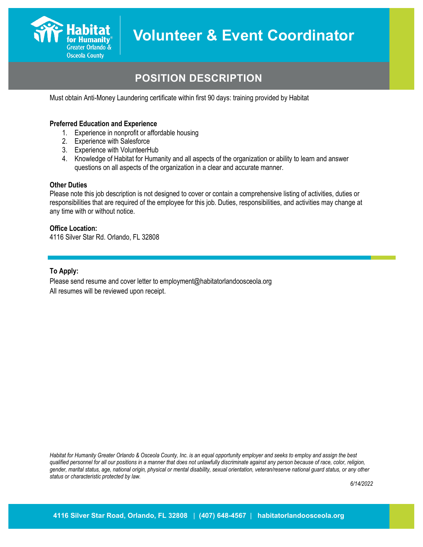

# **POSITION DESCRIPTION**

Must obtain Anti-Money Laundering certificate within first 90 days: training provided by Habitat

## **Preferred Education and Experience**

- 1. Experience in nonprofit or affordable housing
- 2. Experience with Salesforce
- 3. Experience with VolunteerHub
- 4. Knowledge of Habitat for Humanity and all aspects of the organization or ability to learn and answer questions on all aspects of the organization in a clear and accurate manner.

#### **Other Duties**

Please note this job description is not designed to cover or contain a comprehensive listing of activities, duties or responsibilities that are required of the employee for this job. Duties, responsibilities, and activities may change at any time with or without notice.

#### **Office Location:**

4116 Silver Star Rd. Orlando, FL 32808

#### **To Apply:**

Please send resume and cover letter to employment@habitatorlandoosceola.org All resumes will be reviewed upon receipt.

*Habitat for Humanity Greater Orlando & Osceola County, Inc. is an equal opportunity employer and seeks to employ and assign the best qualified personnel for all our positions in a manner that does not unlawfully discriminate against any person because of race, color, religion, gender, marital status, age, national origin, physical or mental disability, sexual orientation, veteran/reserve national guard status, or any other status or characteristic protected by law.*

*6/14/2022*